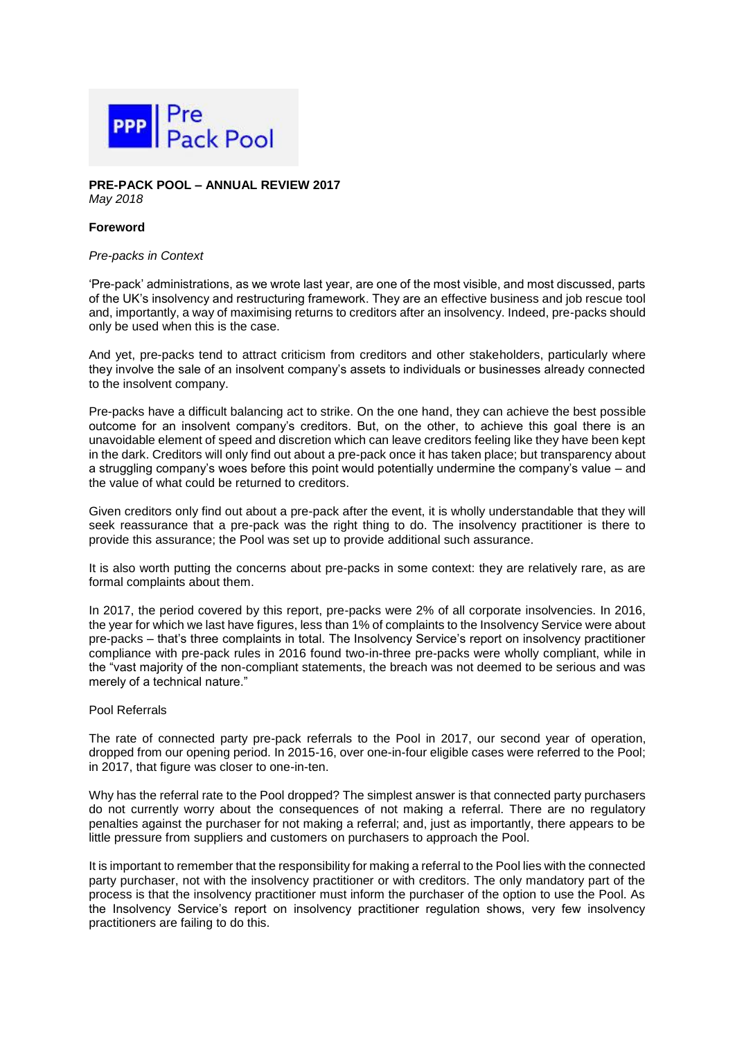

**PRE-PACK POOL – ANNUAL REVIEW 2017** *May 2018*

## **Foreword**

#### *Pre-packs in Context*

'Pre-pack' administrations, as we wrote last year, are one of the most visible, and most discussed, parts of the UK's insolvency and restructuring framework. They are an effective business and job rescue tool and, importantly, a way of maximising returns to creditors after an insolvency. Indeed, pre-packs should only be used when this is the case.

And yet, pre-packs tend to attract criticism from creditors and other stakeholders, particularly where they involve the sale of an insolvent company's assets to individuals or businesses already connected to the insolvent company.

Pre-packs have a difficult balancing act to strike. On the one hand, they can achieve the best possible outcome for an insolvent company's creditors. But, on the other, to achieve this goal there is an unavoidable element of speed and discretion which can leave creditors feeling like they have been kept in the dark. Creditors will only find out about a pre-pack once it has taken place; but transparency about a struggling company's woes before this point would potentially undermine the company's value – and the value of what could be returned to creditors.

Given creditors only find out about a pre-pack after the event, it is wholly understandable that they will seek reassurance that a pre-pack was the right thing to do. The insolvency practitioner is there to provide this assurance; the Pool was set up to provide additional such assurance.

It is also worth putting the concerns about pre-packs in some context: they are relatively rare, as are formal complaints about them.

In 2017, the period covered by this report, pre-packs were 2% of all corporate insolvencies. In 2016, the year for which we last have figures, less than 1% of complaints to the Insolvency Service were about pre-packs – that's three complaints in total. The Insolvency Service's report on insolvency practitioner compliance with pre-pack rules in 2016 found two-in-three pre-packs were wholly compliant, while in the "vast majority of the non-compliant statements, the breach was not deemed to be serious and was merely of a technical nature."

### Pool Referrals

The rate of connected party pre-pack referrals to the Pool in 2017, our second year of operation, dropped from our opening period. In 2015-16, over one-in-four eligible cases were referred to the Pool; in 2017, that figure was closer to one-in-ten.

Why has the referral rate to the Pool dropped? The simplest answer is that connected party purchasers do not currently worry about the consequences of not making a referral. There are no regulatory penalties against the purchaser for not making a referral; and, just as importantly, there appears to be little pressure from suppliers and customers on purchasers to approach the Pool.

It is important to remember that the responsibility for making a referral to the Pool lies with the connected party purchaser, not with the insolvency practitioner or with creditors. The only mandatory part of the process is that the insolvency practitioner must inform the purchaser of the option to use the Pool. As the Insolvency Service's report on insolvency practitioner regulation shows, very few insolvency practitioners are failing to do this.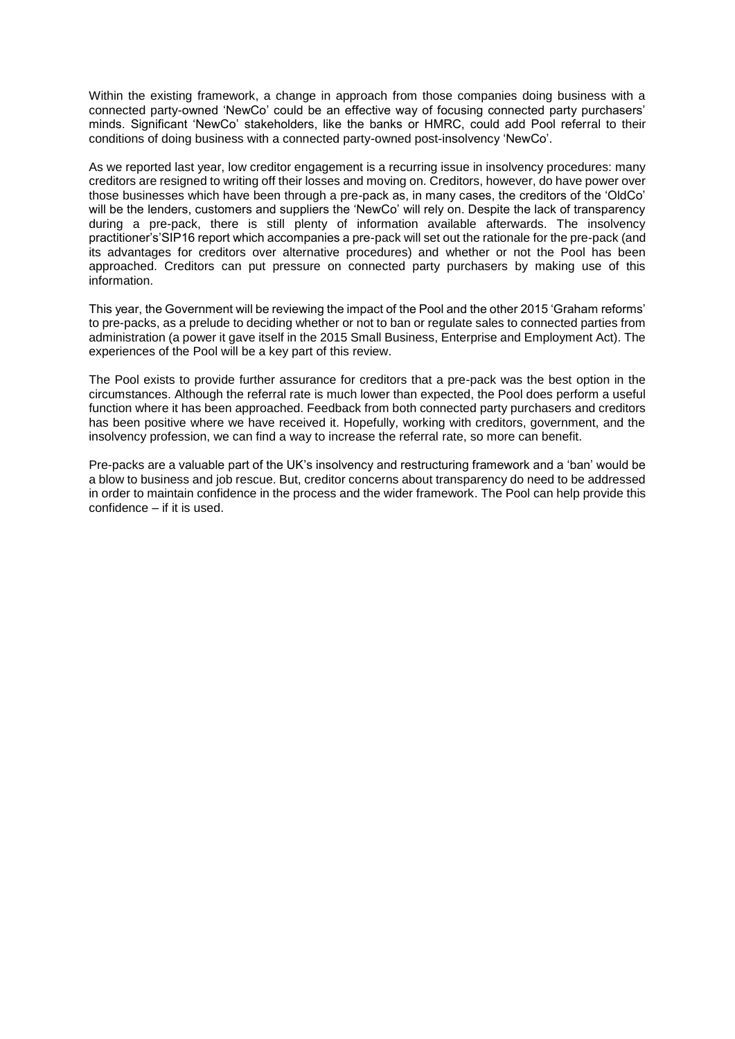Within the existing framework, a change in approach from those companies doing business with a connected party-owned 'NewCo' could be an effective way of focusing connected party purchasers' minds. Significant 'NewCo' stakeholders, like the banks or HMRC, could add Pool referral to their conditions of doing business with a connected party-owned post-insolvency 'NewCo'.

As we reported last year, low creditor engagement is a recurring issue in insolvency procedures: many creditors are resigned to writing off their losses and moving on. Creditors, however, do have power over those businesses which have been through a pre-pack as, in many cases, the creditors of the 'OldCo' will be the lenders, customers and suppliers the 'NewCo' will rely on. Despite the lack of transparency during a pre-pack, there is still plenty of information available afterwards. The insolvency practitioner's'SIP16 report which accompanies a pre-pack will set out the rationale for the pre-pack (and its advantages for creditors over alternative procedures) and whether or not the Pool has been approached. Creditors can put pressure on connected party purchasers by making use of this information.

This year, the Government will be reviewing the impact of the Pool and the other 2015 'Graham reforms' to pre-packs, as a prelude to deciding whether or not to ban or regulate sales to connected parties from administration (a power it gave itself in the 2015 Small Business, Enterprise and Employment Act). The experiences of the Pool will be a key part of this review.

The Pool exists to provide further assurance for creditors that a pre-pack was the best option in the circumstances. Although the referral rate is much lower than expected, the Pool does perform a useful function where it has been approached. Feedback from both connected party purchasers and creditors has been positive where we have received it. Hopefully, working with creditors, government, and the insolvency profession, we can find a way to increase the referral rate, so more can benefit.

Pre-packs are a valuable part of the UK's insolvency and restructuring framework and a 'ban' would be a blow to business and job rescue. But, creditor concerns about transparency do need to be addressed in order to maintain confidence in the process and the wider framework. The Pool can help provide this confidence – if it is used.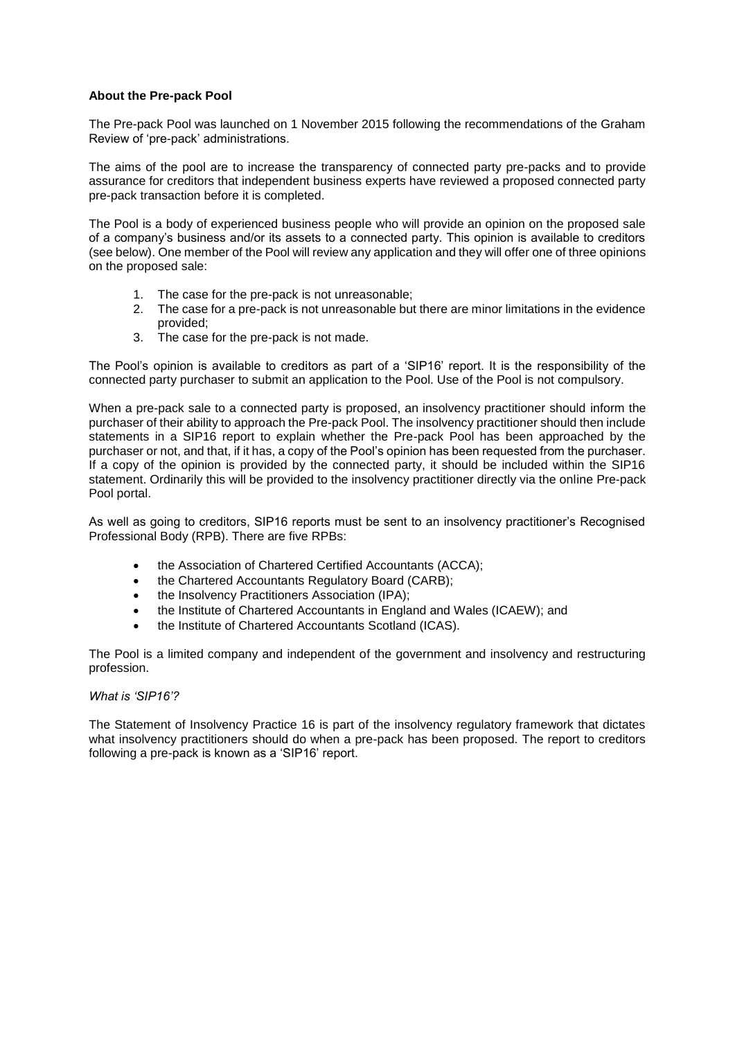## **About the Pre-pack Pool**

The Pre-pack Pool was launched on 1 November 2015 following the recommendations of the Graham Review of 'pre-pack' administrations.

The aims of the pool are to increase the transparency of connected party pre-packs and to provide assurance for creditors that independent business experts have reviewed a proposed connected party pre-pack transaction before it is completed.

The Pool is a body of experienced business people who will provide an opinion on the proposed sale of a company's business and/or its assets to a connected party. This opinion is available to creditors (see below). One member of the Pool will review any application and they will offer one of three opinions on the proposed sale:

- 1. The case for the pre-pack is not unreasonable;
- 2. The case for a pre-pack is not unreasonable but there are minor limitations in the evidence provided;
- 3. The case for the pre-pack is not made.

The Pool's opinion is available to creditors as part of a 'SIP16' report. It is the responsibility of the connected party purchaser to submit an application to the Pool. Use of the Pool is not compulsory.

When a pre-pack sale to a connected party is proposed, an insolvency practitioner should inform the purchaser of their ability to approach the Pre-pack Pool. The insolvency practitioner should then include statements in a SIP16 report to explain whether the Pre-pack Pool has been approached by the purchaser or not, and that, if it has, a copy of the Pool's opinion has been requested from the purchaser. If a copy of the opinion is provided by the connected party, it should be included within the SIP16 statement. Ordinarily this will be provided to the insolvency practitioner directly via the online Pre-pack Pool portal.

As well as going to creditors, SIP16 reports must be sent to an insolvency practitioner's Recognised Professional Body (RPB). There are five RPBs:

- the Association of Chartered Certified Accountants (ACCA);
- the Chartered Accountants Regulatory Board (CARB);
- the Insolvency Practitioners Association (IPA);
- the Institute of Chartered Accountants in England and Wales (ICAEW); and
- the Institute of Chartered Accountants Scotland (ICAS).

The Pool is a limited company and independent of the government and insolvency and restructuring profession.

## *What is 'SIP16'?*

The Statement of Insolvency Practice 16 is part of the insolvency regulatory framework that dictates what insolvency practitioners should do when a pre-pack has been proposed. The report to creditors following a pre-pack is known as a 'SIP16' report.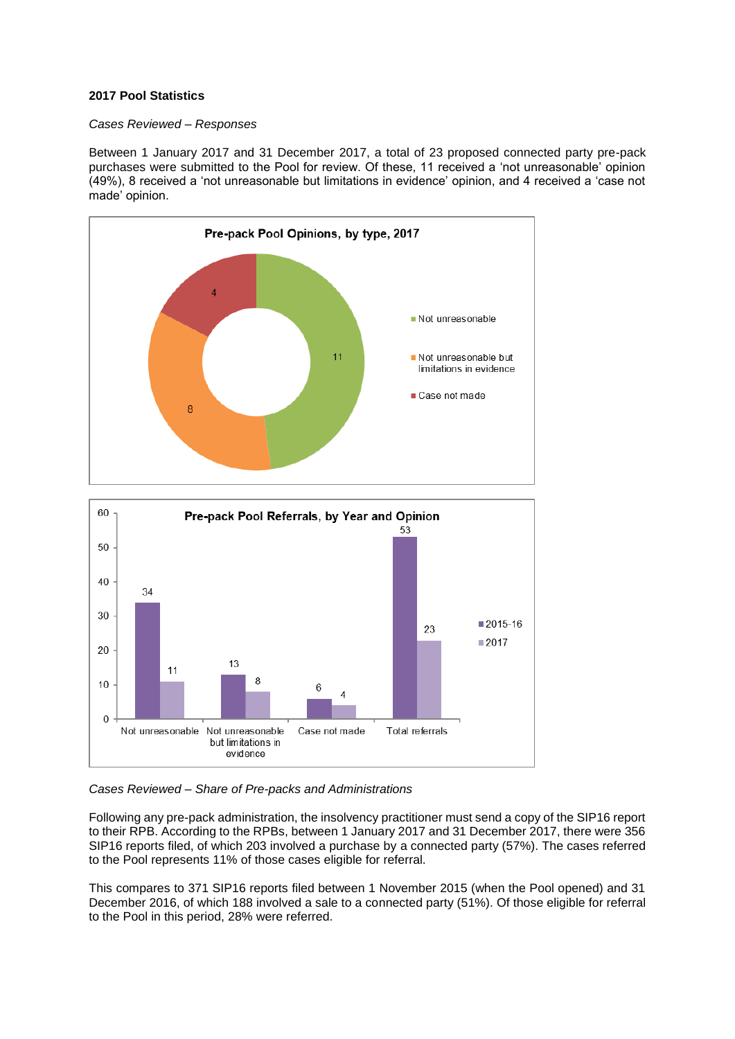## **2017 Pool Statistics**

### *Cases Reviewed – Responses*

Between 1 January 2017 and 31 December 2017, a total of 23 proposed connected party pre-pack purchases were submitted to the Pool for review. Of these, 11 received a 'not unreasonable' opinion (49%), 8 received a 'not unreasonable but limitations in evidence' opinion, and 4 received a 'case not made' opinion.





# *Cases Reviewed – Share of Pre-packs and Administrations*

Following any pre-pack administration, the insolvency practitioner must send a copy of the SIP16 report to their RPB. According to the RPBs, between 1 January 2017 and 31 December 2017, there were 356 SIP16 reports filed, of which 203 involved a purchase by a connected party (57%). The cases referred to the Pool represents 11% of those cases eligible for referral.

This compares to 371 SIP16 reports filed between 1 November 2015 (when the Pool opened) and 31 December 2016, of which 188 involved a sale to a connected party (51%). Of those eligible for referral to the Pool in this period, 28% were referred.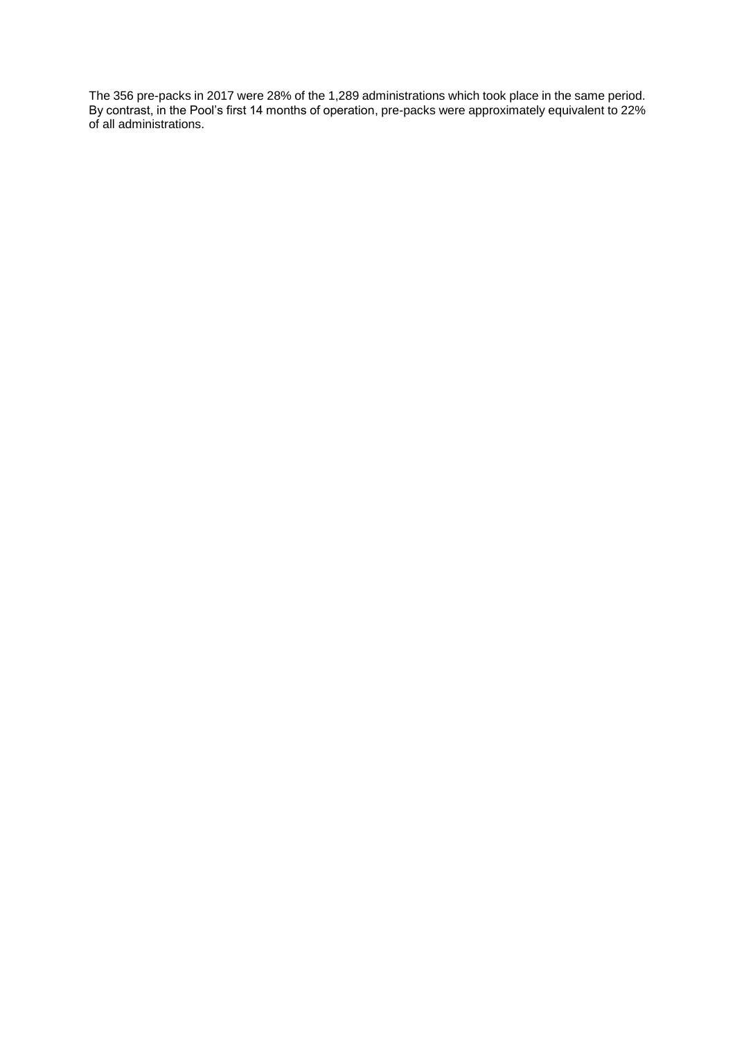The 356 pre-packs in 2017 were 28% of the 1,289 administrations which took place in the same period. By contrast, in the Pool's first 14 months of operation, pre-packs were approximately equivalent to 22% of all administrations.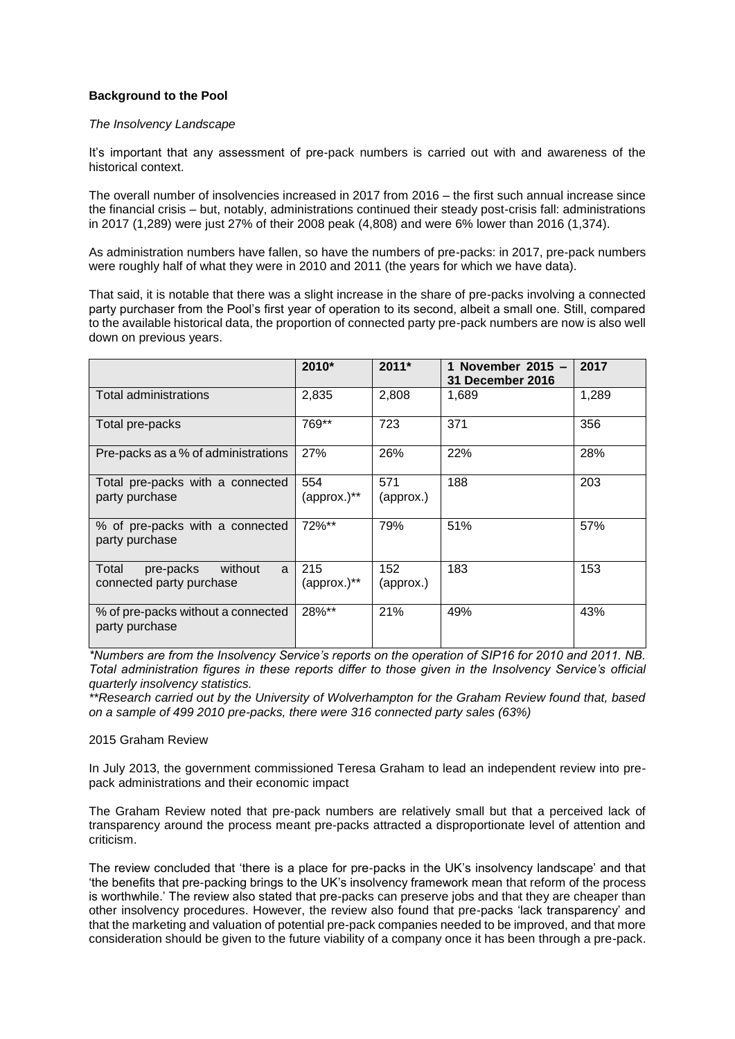# **Background to the Pool**

### *The Insolvency Landscape*

It's important that any assessment of pre-pack numbers is carried out with and awareness of the historical context.

The overall number of insolvencies increased in 2017 from 2016 – the first such annual increase since the financial crisis – but, notably, administrations continued their steady post-crisis fall: administrations in 2017 (1,289) were just 27% of their 2008 peak (4,808) and were 6% lower than 2016 (1,374).

As administration numbers have fallen, so have the numbers of pre-packs: in 2017, pre-pack numbers were roughly half of what they were in 2010 and 2011 (the years for which we have data).

That said, it is notable that there was a slight increase in the share of pre-packs involving a connected party purchaser from the Pool's first year of operation to its second, albeit a small one. Still, compared to the available historical data, the proportion of connected party pre-pack numbers are now is also well down on previous years.

|                                                                | 2010*                           | $2011*$          | November $2015 -$<br><b>31 December 2016</b> | 2017  |
|----------------------------------------------------------------|---------------------------------|------------------|----------------------------------------------|-------|
| Total administrations                                          | 2,835                           | 2,808            | 1,689                                        | 1,289 |
| Total pre-packs                                                | 769**                           | 723              | 371                                          | 356   |
| Pre-packs as a % of administrations                            | 27%                             | 26%              | 22%                                          | 28%   |
| Total pre-packs with a connected<br>party purchase             | 554<br>(approx.)**              | 571<br>(approx.) | 188                                          | 203   |
| % of pre-packs with a connected<br>party purchase              | 72%**                           | 79%              | 51%                                          | 57%   |
| without<br>Total<br>pre-packs<br>a<br>connected party purchase | 215<br>$(approx.$ <sup>**</sup> | 152<br>(approx.) | 183                                          | 153   |
| % of pre-packs without a connected<br>party purchase           | 28%**                           | 21%              | 49%                                          | 43%   |

*\*Numbers are from the Insolvency Service's reports on the operation of SIP16 for 2010 and 2011. NB. Total administration figures in these reports differ to those given in the Insolvency Service's official quarterly insolvency statistics.*

*\*\*Research carried out by the University of Wolverhampton for the Graham Review found that, based on a sample of 499 2010 pre-packs, there were 316 connected party sales (63%)*

### 2015 Graham Review

In July 2013, the government commissioned Teresa Graham to lead an independent review into prepack administrations and their economic impact

The Graham Review noted that pre-pack numbers are relatively small but that a perceived lack of transparency around the process meant pre-packs attracted a disproportionate level of attention and criticism.

The review concluded that 'there is a place for pre-packs in the UK's insolvency landscape' and that 'the benefits that pre-packing brings to the UK's insolvency framework mean that reform of the process is worthwhile.' The review also stated that pre-packs can preserve jobs and that they are cheaper than other insolvency procedures. However, the review also found that pre-packs 'lack transparency' and that the marketing and valuation of potential pre-pack companies needed to be improved, and that more consideration should be given to the future viability of a company once it has been through a pre-pack.